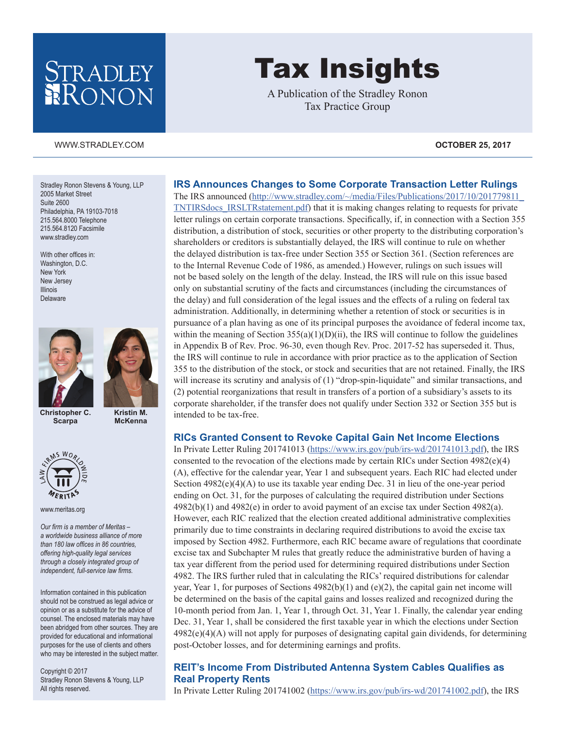## STRADLEY RONON

#### [WWW.STRADLEY.COM](www.stradley.com) **OCTOBER 25, 2017**

Stradley Ronon Stevens & Young, LLP 2005 Market Street Suite 2600 Philadelphia, PA 19103-7018 215.564.8000 Telephone 215.564.8120 Facsimile [www.stradley.com](http://www.stradley.com)

With other offices in: Washington, D.C. New York New Jersey Illinois Delaware





**Kristin M. McKenna**

**Christopher C. Scarpa**



[www.meritas.org](http://www.meritas.org)

*Our firm is a member of Meritas – a worldwide business alliance of more than 180 law offices in 86 countries, offering high-quality legal services through a closely integrated group of independent, full-service law firms.*

Information contained in this publication should not be construed as legal advice or opinion or as a substitute for the advice of counsel. The enclosed materials may have been abridged from other sources. They are provided for educational and informational purposes for the use of clients and others who may be interested in the subject matter.

Copyright © 2017 Stradley Ronon Stevens & Young, LLP All rights reserved.

# Tax Insights

A Publication of the Stradley Ronon Tax Practice Group

#### **IRS Announces Changes to Some Corporate Transaction Letter Rulings**

The IRS announced [\(http://www.stradley.com/~/media/Files/Publications/2017/10/201779811\\_](http://www.stradley.com/~/media/Files/Publications/2017/10/201779811_TNTIRSdocs_IRSLTRstatement.pdf) [TNTIRSdocs\\_IRSLTRstatement.pdf](http://www.stradley.com/~/media/Files/Publications/2017/10/201779811_TNTIRSdocs_IRSLTRstatement.pdf)) that it is making changes relating to requests for private letter rulings on certain corporate transactions. Specifically, if, in connection with a Section 355 distribution, a distribution of stock, securities or other property to the distributing corporation's shareholders or creditors is substantially delayed, the IRS will continue to rule on whether the delayed distribution is tax-free under Section 355 or Section 361. (Section references are to the Internal Revenue Code of 1986, as amended.) However, rulings on such issues will not be based solely on the length of the delay. Instead, the IRS will rule on this issue based only on substantial scrutiny of the facts and circumstances (including the circumstances of the delay) and full consideration of the legal issues and the effects of a ruling on federal tax administration. Additionally, in determining whether a retention of stock or securities is in pursuance of a plan having as one of its principal purposes the avoidance of federal income tax, within the meaning of Section  $355(a)(1)(D)(ii)$ , the IRS will continue to follow the guidelines in Appendix B of Rev. Proc. 96-30, even though Rev. Proc. 2017-52 has superseded it. Thus, the IRS will continue to rule in accordance with prior practice as to the application of Section 355 to the distribution of the stock, or stock and securities that are not retained. Finally, the IRS will increase its scrutiny and analysis of (1) "drop-spin-liquidate" and similar transactions, and (2) potential reorganizations that result in transfers of a portion of a subsidiary's assets to its corporate shareholder, if the transfer does not qualify under Section 332 or Section 355 but is intended to be tax-free.

#### **RICs Granted Consent to Revoke Capital Gain Net Income Elections**

In Private Letter Ruling 201741013 (<https://www.irs.gov/pub/irs-wd/201741013.pdf>), the IRS consented to the revocation of the elections made by certain RICs under Section 4982(e)(4) (A), effective for the calendar year, Year 1 and subsequent years. Each RIC had elected under Section  $4982(e)(4)(A)$  to use its taxable year ending Dec. 31 in lieu of the one-year period ending on Oct. 31, for the purposes of calculating the required distribution under Sections  $4982(b)(1)$  and  $4982(e)$  in order to avoid payment of an excise tax under Section  $4982(a)$ . However, each RIC realized that the election created additional administrative complexities primarily due to time constraints in declaring required distributions to avoid the excise tax imposed by Section 4982. Furthermore, each RIC became aware of regulations that coordinate excise tax and Subchapter M rules that greatly reduce the administrative burden of having a tax year different from the period used for determining required distributions under Section 4982. The IRS further ruled that in calculating the RICs' required distributions for calendar year, Year 1, for purposes of Sections  $4982(b)(1)$  and (e)(2), the capital gain net income will be determined on the basis of the capital gains and losses realized and recognized during the 10-month period from Jan. 1, Year 1, through Oct. 31, Year 1. Finally, the calendar year ending Dec. 31, Year 1, shall be considered the first taxable year in which the elections under Section  $4982(e)(4)(A)$  will not apply for purposes of designating capital gain dividends, for determining post-October losses, and for determining earnings and profits.

#### **REIT's Income From Distributed Antenna System Cables Qualifies as Real Property Rents**

In Private Letter Ruling 201741002 (<https://www.irs.gov/pub/irs-wd/201741002.pdf>), the IRS